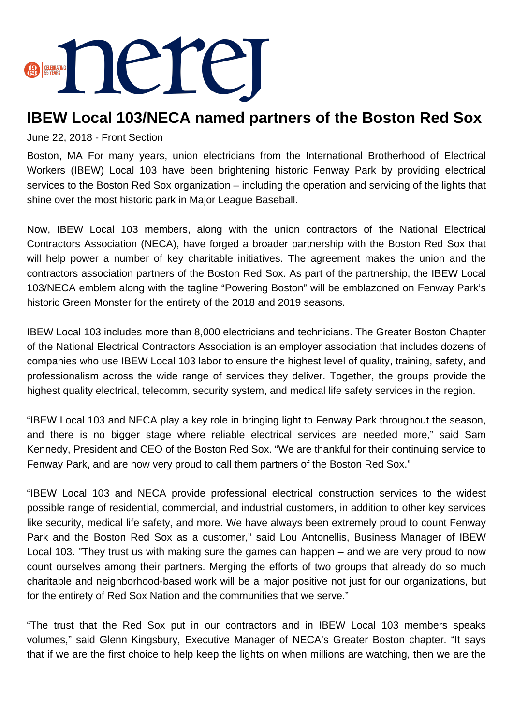

## **IBEW Local 103/NECA named partners of the Boston Red Sox**

June 22, 2018 - Front Section

Boston, MA For many years, union electricians from the International Brotherhood of Electrical Workers (IBEW) Local 103 have been brightening historic Fenway Park by providing electrical services to the Boston Red Sox organization – including the operation and servicing of the lights that shine over the most historic park in Major League Baseball.

Now, IBEW Local 103 members, along with the union contractors of the National Electrical Contractors Association (NECA), have forged a broader partnership with the Boston Red Sox that will help power a number of key charitable initiatives. The agreement makes the union and the contractors association partners of the Boston Red Sox. As part of the partnership, the IBEW Local 103/NECA emblem along with the tagline "Powering Boston" will be emblazoned on Fenway Park's historic Green Monster for the entirety of the 2018 and 2019 seasons.

IBEW Local 103 includes more than 8,000 electricians and technicians. The Greater Boston Chapter of the National Electrical Contractors Association is an employer association that includes dozens of companies who use IBEW Local 103 labor to ensure the highest level of quality, training, safety, and professionalism across the wide range of services they deliver. Together, the groups provide the highest quality electrical, telecomm, security system, and medical life safety services in the region.

"IBEW Local 103 and NECA play a key role in bringing light to Fenway Park throughout the season, and there is no bigger stage where reliable electrical services are needed more," said Sam Kennedy, President and CEO of the Boston Red Sox. "We are thankful for their continuing service to Fenway Park, and are now very proud to call them partners of the Boston Red Sox."

"IBEW Local 103 and NECA provide professional electrical construction services to the widest possible range of residential, commercial, and industrial customers, in addition to other key services like security, medical life safety, and more. We have always been extremely proud to count Fenway Park and the Boston Red Sox as a customer," said Lou Antonellis, Business Manager of IBEW Local 103. "They trust us with making sure the games can happen – and we are very proud to now count ourselves among their partners. Merging the efforts of two groups that already do so much charitable and neighborhood-based work will be a major positive not just for our organizations, but for the entirety of Red Sox Nation and the communities that we serve."

"The trust that the Red Sox put in our contractors and in IBEW Local 103 members speaks volumes," said Glenn Kingsbury, Executive Manager of NECA's Greater Boston chapter. "It says that if we are the first choice to help keep the lights on when millions are watching, then we are the